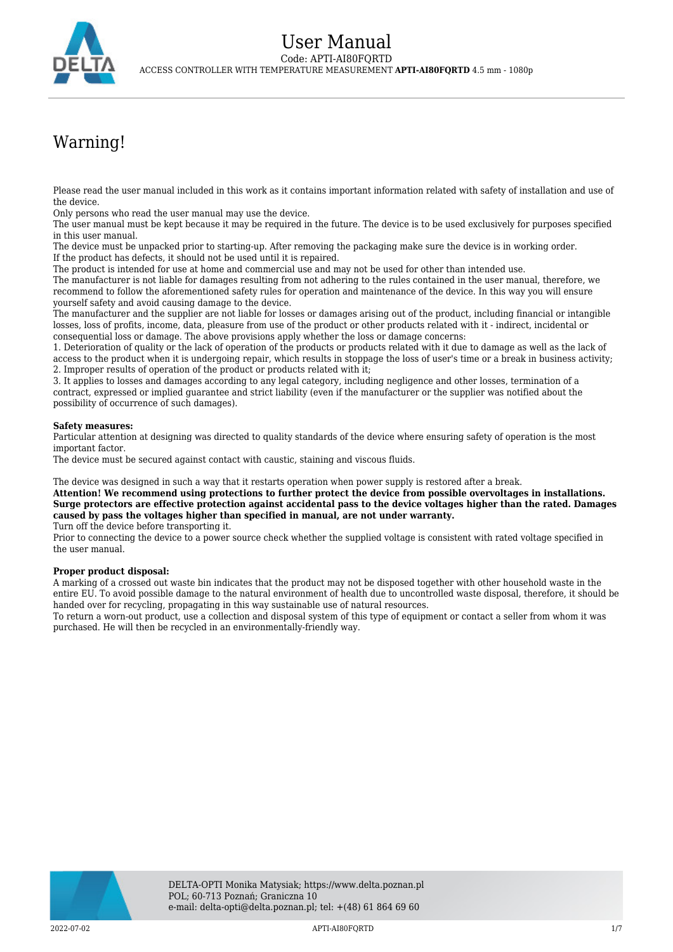# Warning!

Please read the user manual included in this work as it contains important information related with safety of installation and use of the device.

Only persons who read the user manual may use the device.

The user manual must be kept because it may be required in the future. The device is to be used exclusively for purposes specified in this user manual.

The device must be unpacked prior to starting-up. After removing the packaging make sure the device is in working order. If the product has defects, it should not be used until it is repaired.

The product is intended for use at home and commercial use and may not be used for other than intended use.

The manufacturer is not liable for damages resulting from not adhering to the rules contained in the user manual, therefore, we recommend to follow the aforementioned safety rules for operation and maintenance of the device. In this way you will ensure yourself safety and avoid causing damage to the device.

The manufacturer and the supplier are not liable for losses or damages arising out of the product, including financial or intangible losses, loss of profits, income, data, pleasure from use of the product or other products related with it - indirect, incidental or consequential loss or damage. The above provisions apply whether the loss or damage concerns:

1. Deterioration of quality or the lack of operation of the products or products related with it due to damage as well as the lack of access to the product when it is undergoing repair, which results in stoppage the loss of user's time or a break in business activity; 2. Improper results of operation of the product or products related with it;

3. It applies to losses and damages according to any legal category, including negligence and other losses, termination of a contract, expressed or implied guarantee and strict liability (even if the manufacturer or the supplier was notified about the possibility of occurrence of such damages).

### **Safety measures:**

Particular attention at designing was directed to quality standards of the device where ensuring safety of operation is the most important factor.

The device must be secured against contact with caustic, staining and viscous fluids.

The device was designed in such a way that it restarts operation when power supply is restored after a break.

**Attention! We recommend using protections to further protect the device from possible overvoltages in installations. Surge protectors are effective protection against accidental pass to the device voltages higher than the rated. Damages caused by pass the voltages higher than specified in manual, are not under warranty.**

Turn off the device before transporting it.

Prior to connecting the device to a power source check whether the supplied voltage is consistent with rated voltage specified in the user manual.

#### **Proper product disposal:**

A marking of a crossed out waste bin indicates that the product may not be disposed together with other household waste in the entire EU. To avoid possible damage to the natural environment of health due to uncontrolled waste disposal, therefore, it should be handed over for recycling, propagating in this way sustainable use of natural resources.

To return a worn-out product, use a collection and disposal system of this type of equipment or contact a seller from whom it was purchased. He will then be recycled in an environmentally-friendly way.



2022-07-02 APTI-AI80FQRTD 1/7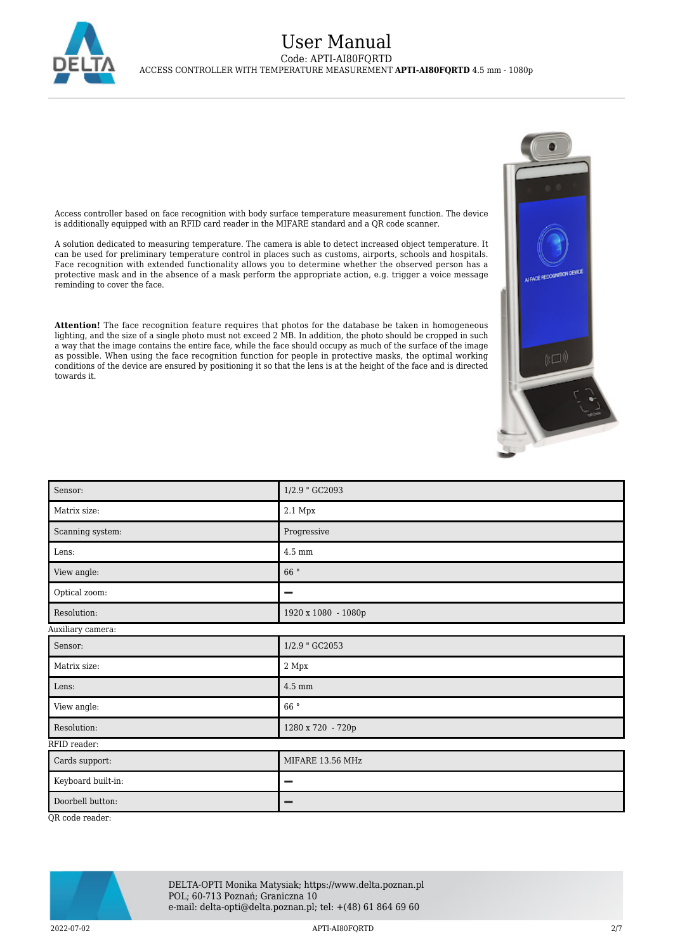

## User Manual Code: APTI-AI80FQRTD ACCESS CONTROLLER WITH TEMPERATURE MEASUREMENT **APTI-AI80FQRTD** 4.5 mm - 1080p

Access controller based on face recognition with body surface temperature measurement function. The device is additionally equipped with an RFID card reader in the MIFARE standard and a QR code scanner.

A solution dedicated to measuring temperature. The camera is able to detect increased object temperature. It can be used for preliminary temperature control in places such as customs, airports, schools and hospitals. Face recognition with extended functionality allows you to determine whether the observed person has a protective mask and in the absence of a mask perform the appropriate action, e.g. trigger a voice message reminding to cover the face.

**Attention!** The face recognition feature requires that photos for the database be taken in homogeneous lighting, and the size of a single photo must not exceed 2 MB. In addition, the photo should be cropped in such a way that the image contains the entire face, while the face should occupy as much of the surface of the image as possible. When using the face recognition function for people in protective masks, the optimal working conditions of the device are ensured by positioning it so that the lens is at the height of the face and is directed towards it.



QR code reader:



DELTA-OPTI Monika Matysiak; https://www.delta.poznan.pl POL; 60-713 Poznań; Graniczna 10 e-mail: delta-opti@delta.poznan.pl; tel: +(48) 61 864 69 60

2022-07-02 APTI-AI80FQRTD 2/7

≬لا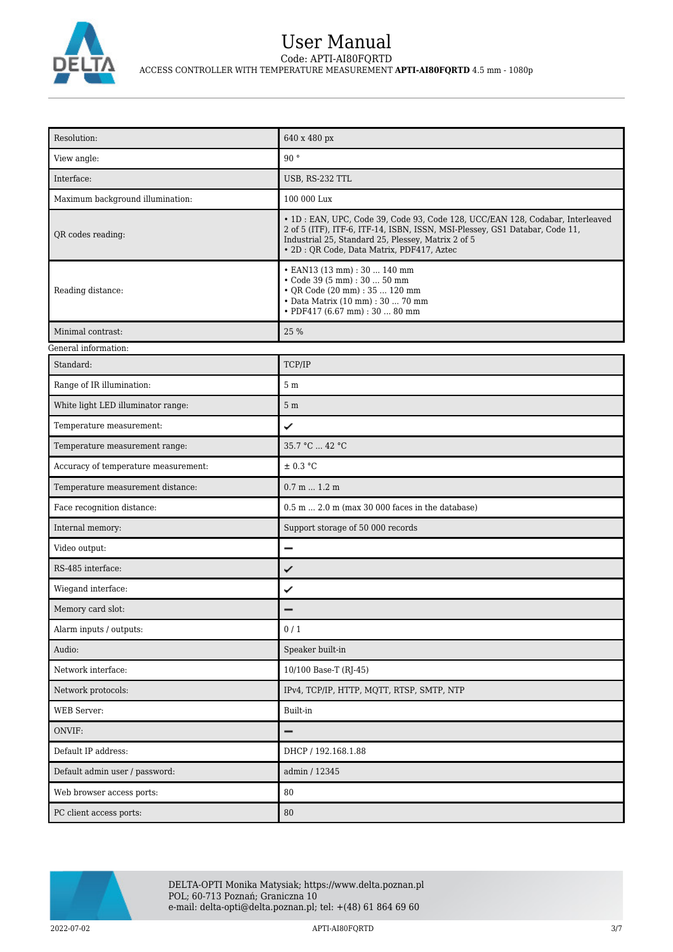

# User Manual Code: APTI-AI80FQRTD ACCESS CONTROLLER WITH TEMPERATURE MEASUREMENT **APTI-AI80FQRTD** 4.5 mm - 1080p

| Resolution:                          | 640 x 480 px                                                                                                                                                                                                                                                      |  |
|--------------------------------------|-------------------------------------------------------------------------------------------------------------------------------------------------------------------------------------------------------------------------------------------------------------------|--|
| View angle:                          | 90°                                                                                                                                                                                                                                                               |  |
| Interface:                           | USB, RS-232 TTL                                                                                                                                                                                                                                                   |  |
| Maximum background illumination:     | 100 000 Lux                                                                                                                                                                                                                                                       |  |
| QR codes reading:                    | · 1D : EAN, UPC, Code 39, Code 93, Code 128, UCC/EAN 128, Codabar, Interleaved<br>2 of 5 (ITF), ITF-6, ITF-14, ISBN, ISSN, MSI-Plessey, GS1 Databar, Code 11,<br>Industrial 25, Standard 25, Plessey, Matrix 2 of 5<br>• 2D : QR Code, Data Matrix, PDF417, Aztec |  |
| Reading distance:                    | • EAN13 (13 mm): 30  140 mm<br>• Code 39 (5 mm) : 30  50 mm<br>• QR Code (20 mm) : 35  120 mm<br>• Data Matrix (10 mm) : 30  70 mm<br>• PDF417 (6.67 mm) : 30  80 mm                                                                                              |  |
| Minimal contrast:                    | 25 %                                                                                                                                                                                                                                                              |  |
| General information:                 |                                                                                                                                                                                                                                                                   |  |
| Standard:                            | TCP/IP                                                                                                                                                                                                                                                            |  |
| Range of IR illumination:            | 5 <sub>m</sub>                                                                                                                                                                                                                                                    |  |
| White light LED illuminator range:   | 5 <sub>m</sub>                                                                                                                                                                                                                                                    |  |
| Temperature measurement:             | ✓                                                                                                                                                                                                                                                                 |  |
| Temperature measurement range:       | 35.7 °C  42 °C                                                                                                                                                                                                                                                    |  |
| Accuracy of temperature measurement: | ± 0.3 °C                                                                                                                                                                                                                                                          |  |
| Temperature measurement distance:    | 0.7 m 1.2 m                                                                                                                                                                                                                                                       |  |
| Face recognition distance:           | $0.5$ m $2.0$ m (max 30 000 faces in the database)                                                                                                                                                                                                                |  |
| Internal memory:                     | Support storage of 50 000 records                                                                                                                                                                                                                                 |  |
| Video output:                        | $\overline{\phantom{0}}$                                                                                                                                                                                                                                          |  |
| RS-485 interface:                    | ✓                                                                                                                                                                                                                                                                 |  |
| Wiegand interface:                   | ✓                                                                                                                                                                                                                                                                 |  |
| Memory card slot:                    |                                                                                                                                                                                                                                                                   |  |
| Alarm inputs / outputs:              | 0/1                                                                                                                                                                                                                                                               |  |
| Audio:                               | Speaker built-in                                                                                                                                                                                                                                                  |  |
| Network interface:                   | 10/100 Base-T (RJ-45)                                                                                                                                                                                                                                             |  |
| Network protocols:                   | IPv4, TCP/IP, HTTP, MQTT, RTSP, SMTP, NTP                                                                                                                                                                                                                         |  |
| WEB Server:                          | Built-in                                                                                                                                                                                                                                                          |  |
| ONVIF:                               | -                                                                                                                                                                                                                                                                 |  |
| Default IP address:                  | DHCP / 192.168.1.88                                                                                                                                                                                                                                               |  |
| Default admin user / password:       | admin / 12345                                                                                                                                                                                                                                                     |  |
| Web browser access ports:            | 80                                                                                                                                                                                                                                                                |  |
| PC client access ports:              | 80                                                                                                                                                                                                                                                                |  |

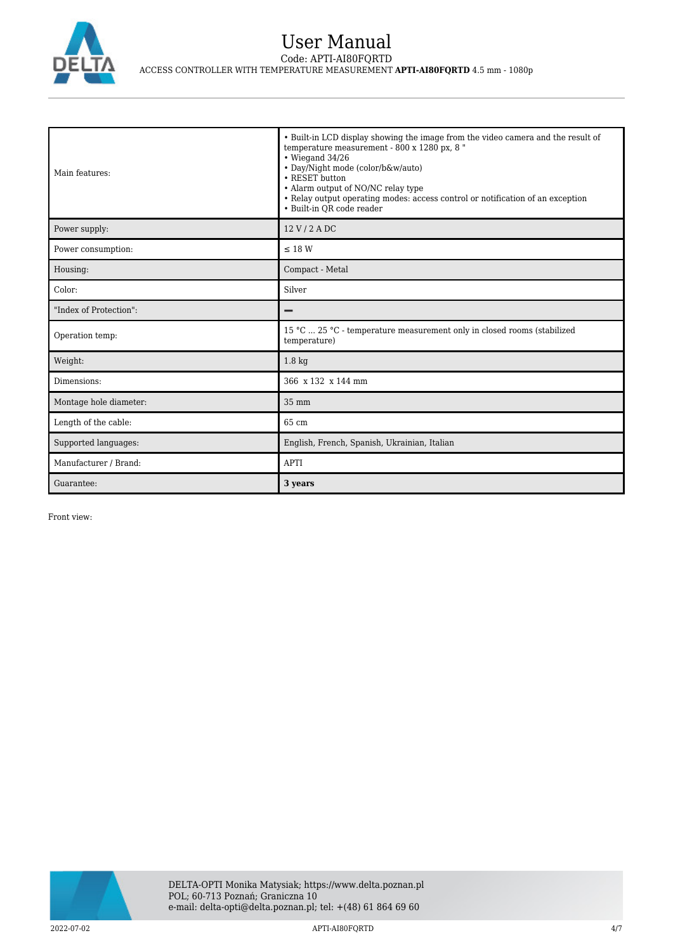

# User Manual Code: APTI-AI80FQRTD ACCESS CONTROLLER WITH TEMPERATURE MEASUREMENT **APTI-AI80FQRTD** 4.5 mm - 1080p

| Main features:         | • Built-in LCD display showing the image from the video camera and the result of<br>temperature measurement - 800 x 1280 px, 8 "<br>$\cdot$ Wiegand 34/26<br>• Day/Night mode (color/b&w/auto)<br>• RESET button<br>• Alarm output of NO/NC relay type<br>• Relay output operating modes: access control or notification of an exception<br>• Built-in OR code reader |
|------------------------|-----------------------------------------------------------------------------------------------------------------------------------------------------------------------------------------------------------------------------------------------------------------------------------------------------------------------------------------------------------------------|
| Power supply:          | 12 V / 2 A DC                                                                                                                                                                                                                                                                                                                                                         |
| Power consumption:     | $\leq$ 18 W                                                                                                                                                                                                                                                                                                                                                           |
| Housing:               | Compact - Metal                                                                                                                                                                                                                                                                                                                                                       |
| Color:                 | Silver                                                                                                                                                                                                                                                                                                                                                                |
| "Index of Protection": |                                                                                                                                                                                                                                                                                                                                                                       |
| Operation temp:        | 15 °C  25 °C - temperature measurement only in closed rooms (stabilized<br>temperature)                                                                                                                                                                                                                                                                               |
| Weight:                | $1.8 \text{ kg}$                                                                                                                                                                                                                                                                                                                                                      |
| Dimensions:            | 366 x 132 x 144 mm                                                                                                                                                                                                                                                                                                                                                    |
| Montage hole diameter: | 35 mm                                                                                                                                                                                                                                                                                                                                                                 |
| Length of the cable:   | 65 cm                                                                                                                                                                                                                                                                                                                                                                 |
| Supported languages:   | English, French, Spanish, Ukrainian, Italian                                                                                                                                                                                                                                                                                                                          |
| Manufacturer / Brand:  | <b>APTI</b>                                                                                                                                                                                                                                                                                                                                                           |
| Guarantee:             | 3 years                                                                                                                                                                                                                                                                                                                                                               |

Front view:

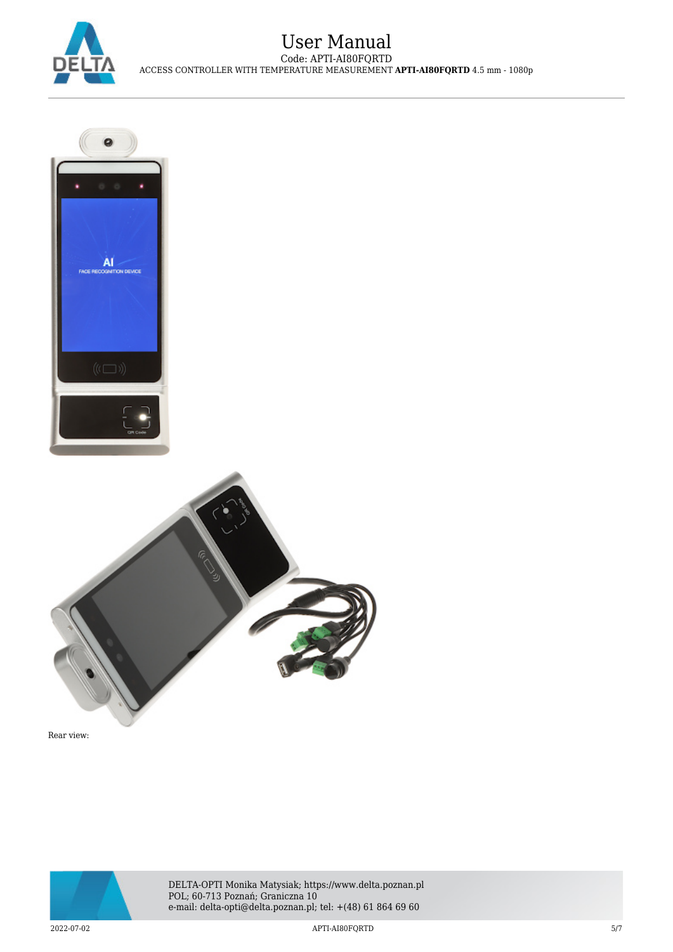





Rear view:



2022-07-02 APTI-AI80FQRTD 5/7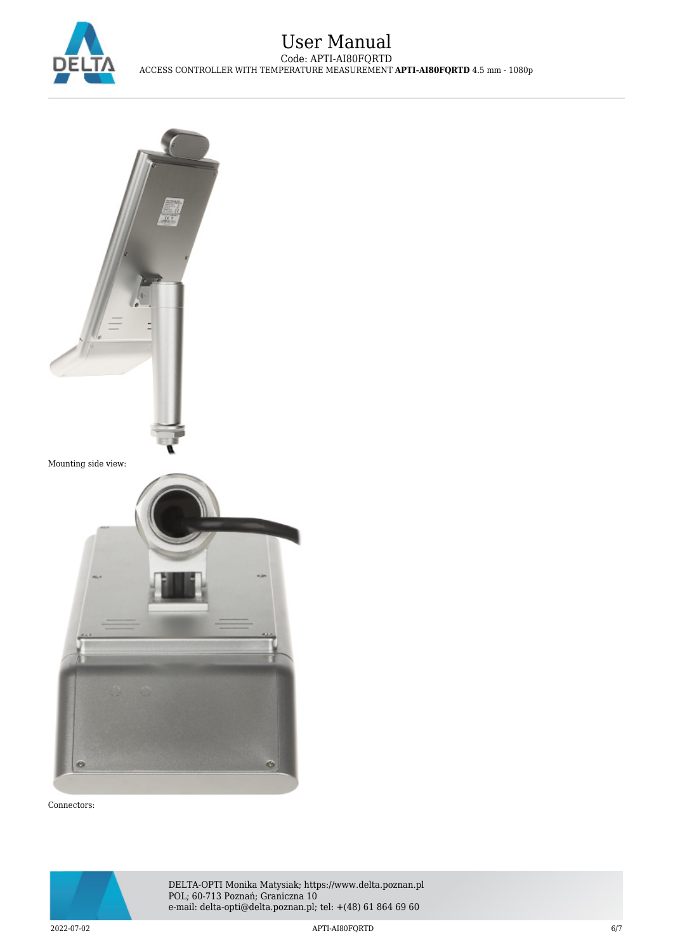



Connectors: